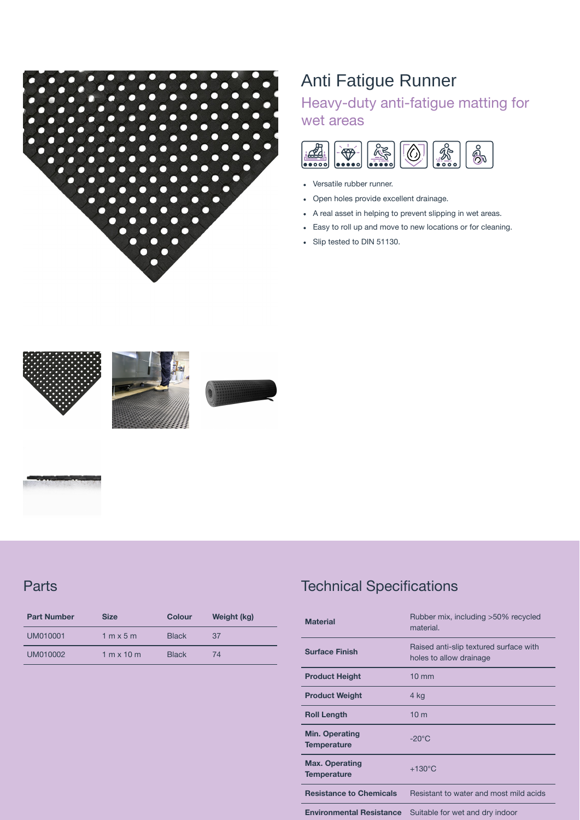

## Anti Fatigue Runner

## Heavy-duty anti-fatigue matting for wet areas



- Versatile rubber runner.
- Open holes provide excellent drainage.  $\bullet$
- A real asset in helping to prevent slipping in wet areas.  $\bullet$
- Easy to roll up and move to new locations or for cleaning.  $\bullet$
- Slip tested to DIN 51130.  $\bullet$



**Parts** 

| <b>Part Number</b> | <b>Size</b>                       | <b>Colour</b> | Weight (kg) |
|--------------------|-----------------------------------|---------------|-------------|
| UM010001           | $1 \text{ m} \times 5 \text{ m}$  | <b>Black</b>  | 37          |
| UM010002           | $1 \text{ m} \times 10 \text{ m}$ | <b>Black</b>  | 74          |

## Technical Specifications

| <b>Material</b>                             | Rubber mix, including >50% recycled<br>material.                  |  |
|---------------------------------------------|-------------------------------------------------------------------|--|
| <b>Surface Finish</b>                       | Raised anti-slip textured surface with<br>holes to allow drainage |  |
| <b>Product Height</b>                       | $10 \text{ mm}$                                                   |  |
| <b>Product Weight</b>                       | 4 kg                                                              |  |
| <b>Roll Length</b>                          | 10 <sub>m</sub>                                                   |  |
| <b>Min. Operating</b><br><b>Temperature</b> | $-20^{\circ}$ C                                                   |  |
| <b>Max. Operating</b><br><b>Temperature</b> | $+130^{\circ}$ C                                                  |  |
| <b>Resistance to Chemicals</b>              | Resistant to water and most mild acids                            |  |
| <b>Environmental Resistance</b>             | Suitable for wet and dry indoor                                   |  |